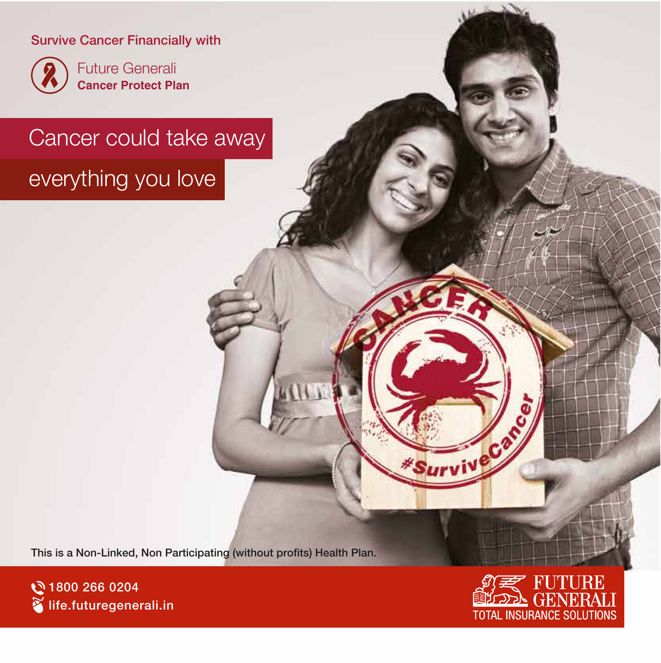#### Survive Cancer Financially with



Future Generali **Cancer Protect Plan**

### Cancer could take away

### everything you love

This is a Non-Linked, Non Participating (without profits) Health Plan.





Survive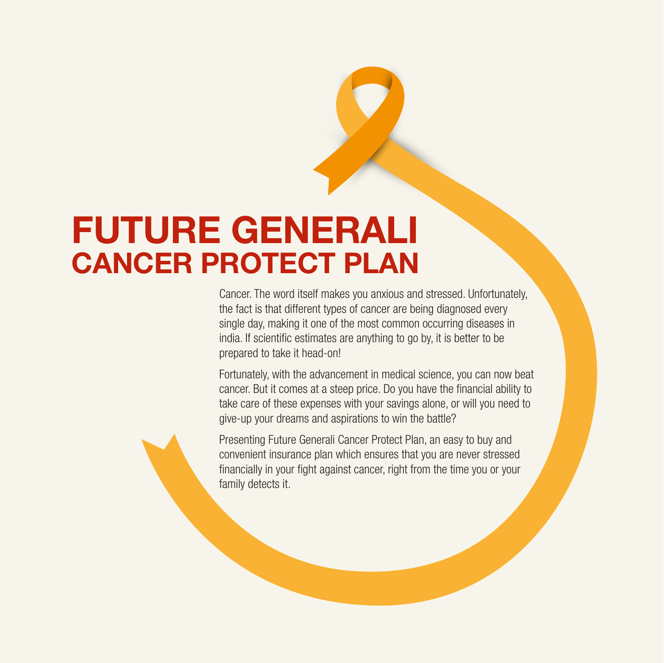## FUTURE GENERALI CANCER PROTECT PLAN

Cancer. The word itself makes you anxious and stressed. Unfortunately, the fact is that different types of cancer are being diagnosed every single day, making it one of the most common occurring diseases in india. If scientific estimates are anything to go by, it is better to be prepared to take it head-on!

Fortunately, with the advancement in medical science, you can now beat cancer. But it comes at a steep price. Do you have the financial ability to take care of these expenses with your savings alone, or will you need to give-up your dreams and aspirations to win the battle?

Presenting Future Generali Cancer Protect Plan, an easy to buy and convenient insurance plan which ensures that you are never stressed financially in your fight against cancer, right from the time you or your family detects it.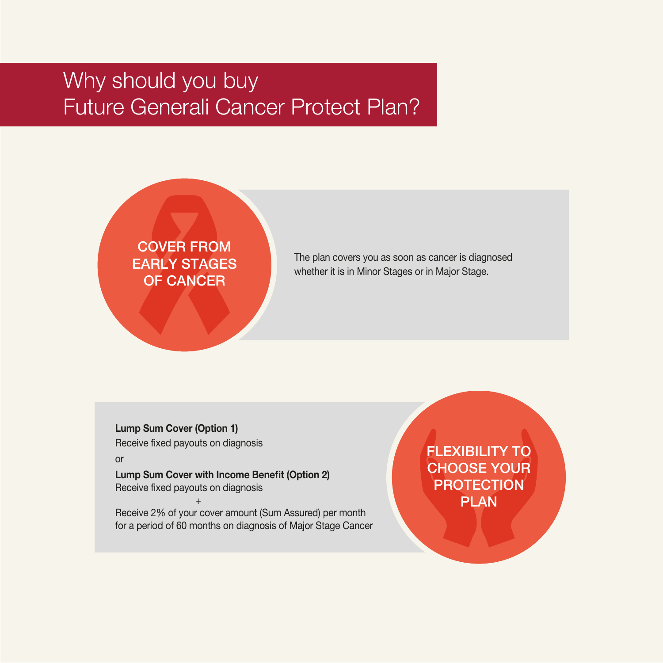### Why should you buy Future Generali Cancer Protect Plan?



The plan covers you as soon as cancer is diagnosed whether it is in Minor Stages or in Major Stage.

Lump Sum Cover (Option 1) Receive fixed payouts on diagnosis

or

Lump Sum Cover with Income Benefit (Option 2) Receive fixed payouts on diagnosis

 $+$  +  $+$   $+$ Receive 2% of your cover amount (Sum Assured) per month for a period of 60 months on diagnosis of Major Stage Cancer FLEXIBILITY TO CHOOSE YOUR PROTECTION PLAN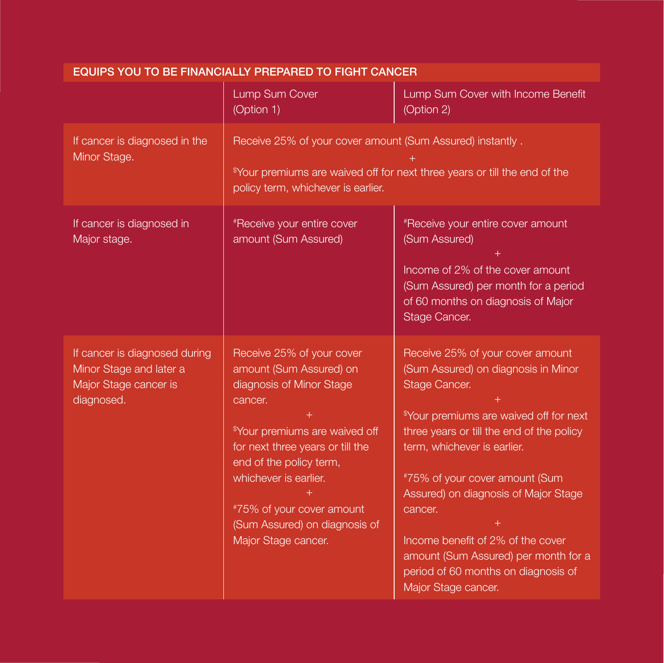| EQUIPS YOU TO BE FINANCIALLY PREPARED TO FIGHT CANCER                                           |                                                                                                                                                                                                                                                                                                                        |                                                                                                                                                                                                                                                                                                                                                                                                                                                             |  |
|-------------------------------------------------------------------------------------------------|------------------------------------------------------------------------------------------------------------------------------------------------------------------------------------------------------------------------------------------------------------------------------------------------------------------------|-------------------------------------------------------------------------------------------------------------------------------------------------------------------------------------------------------------------------------------------------------------------------------------------------------------------------------------------------------------------------------------------------------------------------------------------------------------|--|
|                                                                                                 | Lump Sum Cover<br>(Option 1)                                                                                                                                                                                                                                                                                           | Lump Sum Cover with Income Benefit<br>(Option 2)                                                                                                                                                                                                                                                                                                                                                                                                            |  |
| If cancer is diagnosed in the<br>Minor Stage.                                                   | Receive 25% of your cover amount (Sum Assured) instantly.<br><sup>\$</sup> Your premiums are waived off for next three years or till the end of the<br>policy term, whichever is earlier.                                                                                                                              |                                                                                                                                                                                                                                                                                                                                                                                                                                                             |  |
| If cancer is diagnosed in<br>Major stage.                                                       | <i>*Receive your entire cover</i><br>amount (Sum Assured)                                                                                                                                                                                                                                                              | #Receive your entire cover amount<br>(Sum Assured)<br>Income of 2% of the cover amount<br>(Sum Assured) per month for a period<br>of 60 months on diagnosis of Major<br>Stage Cancer.                                                                                                                                                                                                                                                                       |  |
| If cancer is diagnosed during<br>Minor Stage and later a<br>Major Stage cancer is<br>diagnosed. | Receive 25% of your cover<br>amount (Sum Assured) on<br>diagnosis of Minor Stage<br>cancer.<br><sup>\$</sup> Your premiums are waived off<br>for next three years or till the<br>end of the policy term,<br>whichever is earlier.<br>#75% of your cover amount<br>(Sum Assured) on diagnosis of<br>Major Stage cancer. | Receive 25% of your cover amount<br>(Sum Assured) on diagnosis in Minor<br>Stage Cancer.<br><sup>\$</sup> Your premiums are waived off for next<br>three years or till the end of the policy<br>term, whichever is earlier.<br>#75% of your cover amount (Sum<br>Assured) on diagnosis of Major Stage<br>cancer.<br>Income benefit of 2% of the cover<br>amount (Sum Assured) per month for a<br>period of 60 months on diagnosis of<br>Major Stage cancer. |  |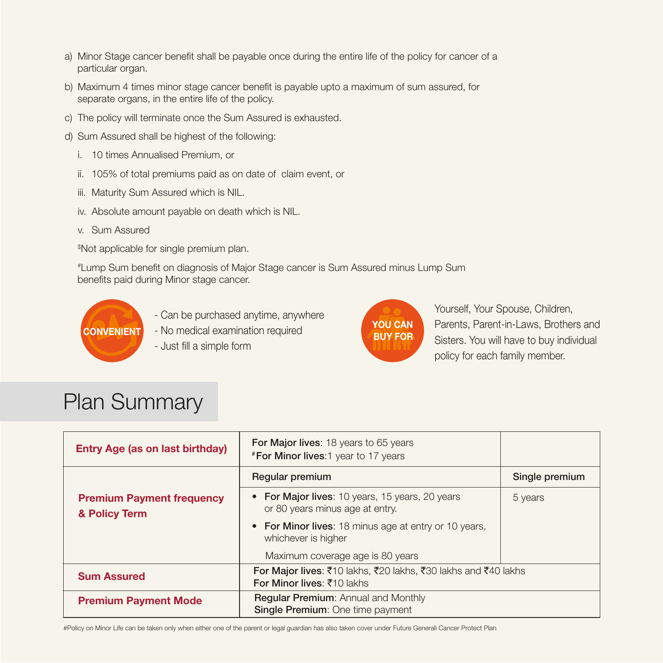- a) Minor Stage cancer benefit shall be payable once during the entire life of the policy for cancer of a particular organ.
- b) Maximum 4 times minor stage cancer benefit is payable upto a maximum of sum assured, for separate organs, in the entire life of the policy.
- c) The policy will terminate once the Sum Assured is exhausted.
- d) Sum Assured shall be highest of the following:
	- i. 10 times Annualised Premium, or
	- ii. 105% of total premiums paid as on date of claim event, or
	- iii. Maturity Sum Assured which is NIL.
	- iv. Absolute amount payable on death which is NIL.
	- v. Sum Assured

\$ Not applicable for single premium plan.

#Lump Sum benefit on diagnosis of Major Stage cancer is Sum Assured minus Lump Sum benefits paid during Minor stage cancer.



- Can be purchased anytime, anywhere
- CONVENIENT No medical examination required
	- Just fill a simple form



Yourself, Your Spouse, Children, Parents, Parent-in-Laws, Brothers and Sisters. You will have to buy individual policy for each family member.

### Plan Summary

| <b>Entry Age (as on last birthday)</b>            | <b>For Major lives: 18 years to 65 years</b><br><b>*For Minor lives: 1 year to 17 years</b>                                      |                |
|---------------------------------------------------|----------------------------------------------------------------------------------------------------------------------------------|----------------|
|                                                   | Regular premium                                                                                                                  | Single premium |
| <b>Premium Payment frequency</b><br>& Policy Term | • For Major lives: 10 years, 15 years, 20 years<br>or 80 years minus age at entry.                                               | 5 years        |
|                                                   | • For Minor lives: 18 minus age at entry or 10 years,<br>whichever is higher                                                     |                |
|                                                   | Maximum coverage age is 80 years                                                                                                 |                |
| <b>Sum Assured</b>                                | For Major lives: $\bar{x}$ 10 lakhs, $\bar{x}$ 20 lakhs, $\bar{x}$ 30 lakhs and $\bar{x}$ 40 lakhs<br>For Minor lives: ₹10 lakhs |                |
| <b>Premium Payment Mode</b>                       | <b>Regular Premium: Annual and Monthly</b><br>Single Premium: One time payment                                                   |                |

#Policy on Minor Life can be taken only when either one of the parent or legal guardian has also taken cover under Future Generali Cancer Protect Plan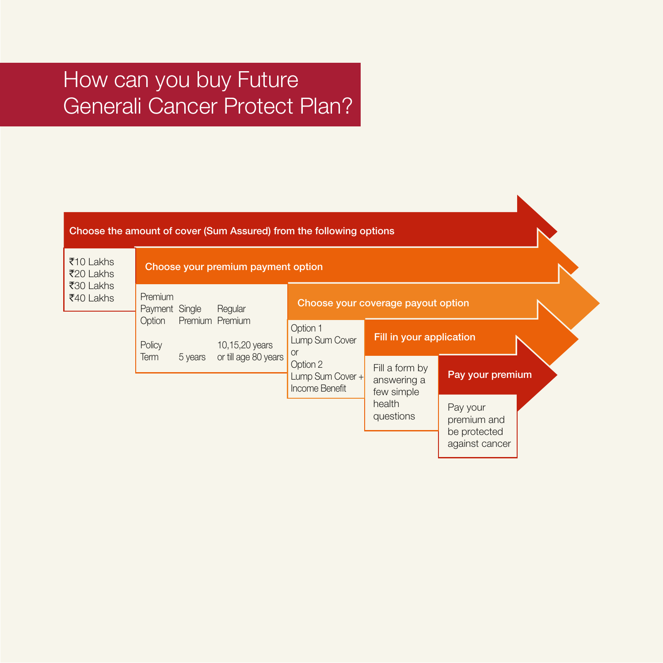### How can you buy Future Generali Cancer Protect Plan?

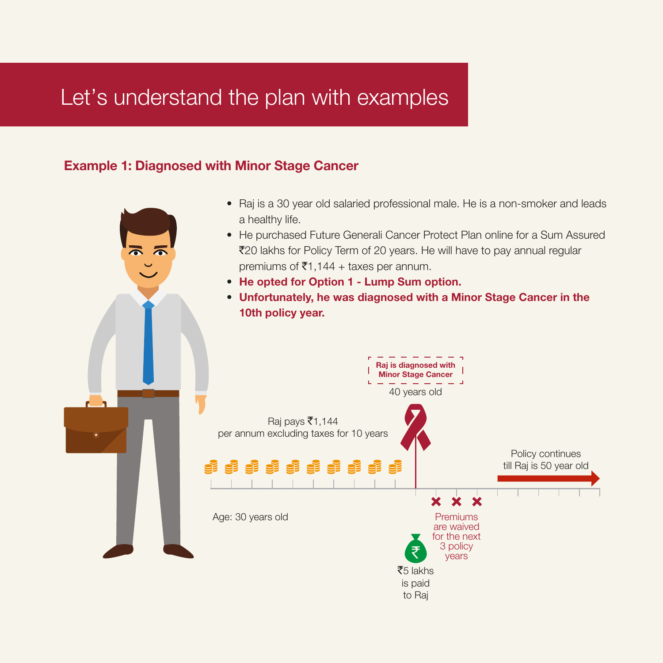### Let's understand the plan with examples

#### Example 1: Diagnosed with Minor Stage Cancer

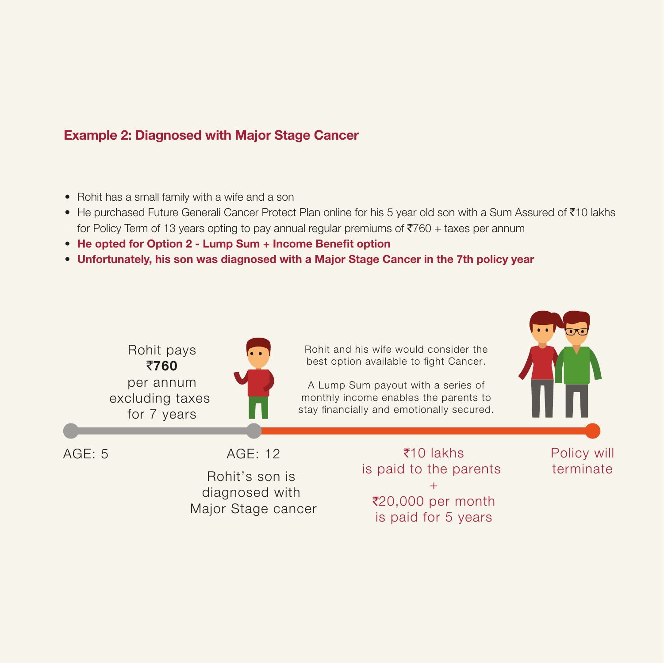#### Example 2: Diagnosed with Major Stage Cancer

- Rohit has a small family with a wife and a son
- He purchased Future Generali Cancer Protect Plan online for his 5 year old son with a Sum Assured of ₹10 lakhs for Policy Term of 13 years opting to pay annual regular premiums of  $\overline{5760}$  + taxes per annum
- He opted for Option 2 Lump Sum + Income Benefit option
- Unfortunately, his son was diagnosed with a Major Stage Cancer in the 7th policy year

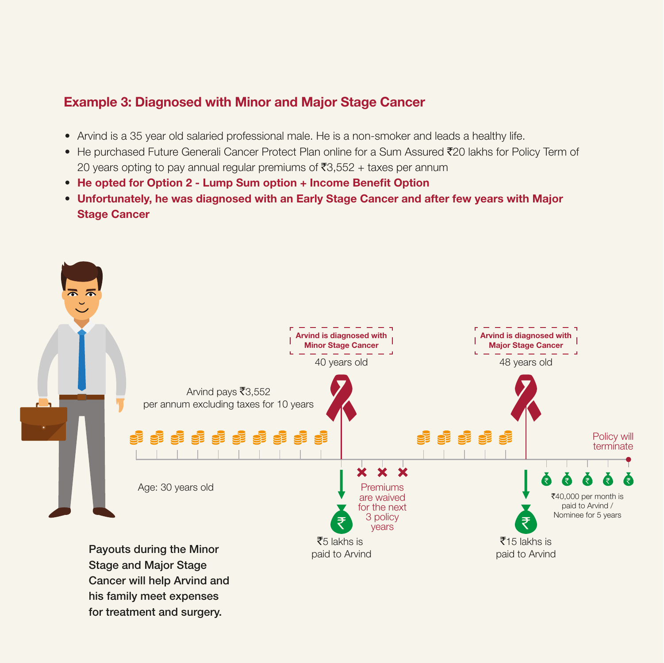#### Example 3: Diagnosed with Minor and Major Stage Cancer

- Arvind is a 35 year old salaried professional male. He is a non-smoker and leads a healthy life.
- He purchased Future Generali Cancer Protect Plan online for a Sum Assured ₹20 lakhs for Policy Term of 20 years opting to pay annual regular premiums of ₹3,552 + taxes per annum
- He opted for Option 2 Lump Sum option + Income Benefit Option
- Unfortunately, he was diagnosed with an Early Stage Cancer and after few years with Major Stage Cancer



Cancer will help Arvind and his family meet expenses for treatment and surgery.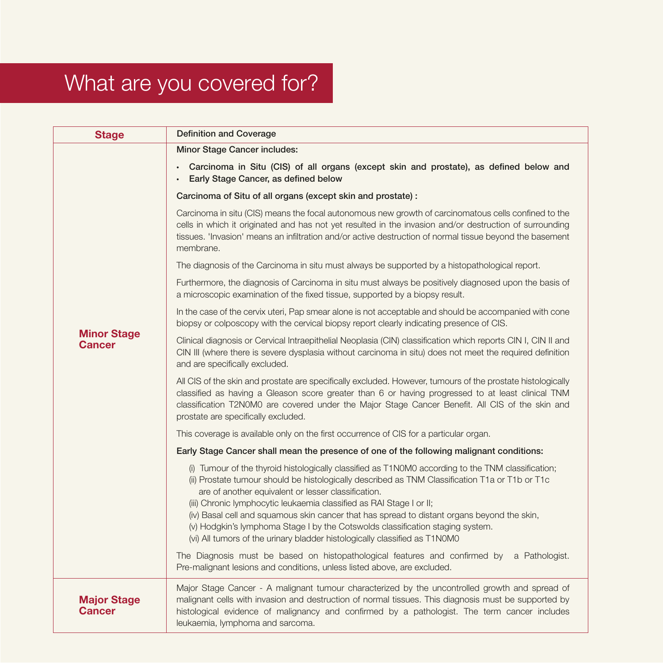## What are you covered for?

| <b>Stage</b>                 | <b>Definition and Coverage</b>                                                                                                                                                                                                                                                                                                                             |  |
|------------------------------|------------------------------------------------------------------------------------------------------------------------------------------------------------------------------------------------------------------------------------------------------------------------------------------------------------------------------------------------------------|--|
|                              | Minor Stage Cancer includes:                                                                                                                                                                                                                                                                                                                               |  |
|                              | Carcinoma in Situ (CIS) of all organs (except skin and prostate), as defined below and<br>$\bullet$<br>Early Stage Cancer, as defined below                                                                                                                                                                                                                |  |
|                              | Carcinoma of Situ of all organs (except skin and prostate) :                                                                                                                                                                                                                                                                                               |  |
|                              | Carcinoma in situ (CIS) means the focal autonomous new growth of carcinomatous cells confined to the<br>cells in which it originated and has not yet resulted in the invasion and/or destruction of surrounding<br>tissues. 'Invasion' means an infiltration and/or active destruction of normal tissue beyond the basement<br>membrane.                   |  |
|                              | The diagnosis of the Carcinoma in situ must always be supported by a histopathological report.                                                                                                                                                                                                                                                             |  |
| <b>Minor Stage</b><br>Cancer | Furthermore, the diagnosis of Carcinoma in situ must always be positively diagnosed upon the basis of<br>a microscopic examination of the fixed tissue, supported by a biopsy result.                                                                                                                                                                      |  |
|                              | In the case of the cervix uteri, Pap smear alone is not acceptable and should be accompanied with cone<br>biopsy or colposcopy with the cervical biopsy report clearly indicating presence of CIS.                                                                                                                                                         |  |
|                              | Clinical diagnosis or Cervical Intraepithelial Neoplasia (CIN) classification which reports CIN I, CIN II and<br>CIN III (where there is severe dysplasia without carcinoma in situ) does not meet the required definition<br>and are specifically excluded.                                                                                               |  |
|                              | All CIS of the skin and prostate are specifically excluded. However, tumours of the prostate histologically<br>classified as having a Gleason score greater than 6 or having progressed to at least clinical TNM<br>classification T2N0M0 are covered under the Major Stage Cancer Benefit. All CIS of the skin and<br>prostate are specifically excluded. |  |
|                              | This coverage is available only on the first occurrence of CIS for a particular organ.                                                                                                                                                                                                                                                                     |  |
|                              | Early Stage Cancer shall mean the presence of one of the following malignant conditions:                                                                                                                                                                                                                                                                   |  |
|                              | (i) Tumour of the thyroid histologically classified as T1N0M0 according to the TNM classification;<br>(ii) Prostate tumour should be histologically described as TNM Classification T1a or T1b or T1c<br>are of another equivalent or lesser classification.<br>(iii) Chronic lymphocytic leukaemia classified as RAI Stage I or II;                       |  |
|                              | (iv) Basal cell and squamous skin cancer that has spread to distant organs beyond the skin,<br>(v) Hodgkin's lymphoma Stage I by the Cotswolds classification staging system.<br>(vi) All tumors of the urinary bladder histologically classified as T1N0M0                                                                                                |  |
|                              | The Diagnosis must be based on histopathological features and confirmed by a Pathologist.<br>Pre-malignant lesions and conditions, unless listed above, are excluded.                                                                                                                                                                                      |  |
| <b>Major Stage</b><br>Cancer | Major Stage Cancer - A malignant tumour characterized by the uncontrolled growth and spread of<br>malignant cells with invasion and destruction of normal tissues. This diagnosis must be supported by<br>histological evidence of malignancy and confirmed by a pathologist. The term cancer includes<br>leukaemia, lymphoma and sarcoma.                 |  |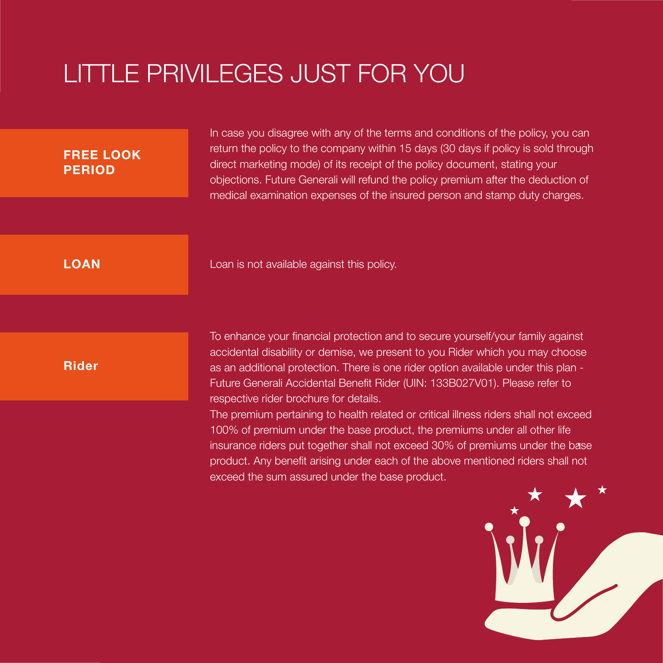## LITTLE PRIVILEGES JUST FOR YOU

| <b>FREE LOOK</b><br><b>PERIOD</b> | In case you disagree with any of the terms and conditions of the policy, you can<br>return the policy to the company within 15 days (30 days if policy is sold through<br>direct marketing mode) of its receipt of the policy document, stating your<br>objections. Future Generali will refund the policy premium after the deduction of<br>medical examination expenses of the insured person and stamp duty charges. |
|-----------------------------------|-------------------------------------------------------------------------------------------------------------------------------------------------------------------------------------------------------------------------------------------------------------------------------------------------------------------------------------------------------------------------------------------------------------------------|
| <b>LOAN</b>                       | Loan is not available against this policy.                                                                                                                                                                                                                                                                                                                                                                              |
| <b>Rider</b>                      | To enhance your financial protection and to secure yourself/your family against<br>accidental disability or demise, we present to you Rider which you may choose<br>as an additional protection. There is one rider option available under this plan -<br>Future Generali Accidental Benefit Rider (UIN: 133B027V01). Please refer to<br>respective rider brochure for details.                                         |
|                                   | The premium pertaining to health related or critical illness riders shall not exceed<br>100% of premium under the base product, the premiums under all other life<br>insurance riders put together shall not exceed 30% of premiums under the base<br>product. Any benefit arising under each of the above mentioned riders shall not<br>exceed the sum assured under the base product.                                 |
|                                   |                                                                                                                                                                                                                                                                                                                                                                                                                         |

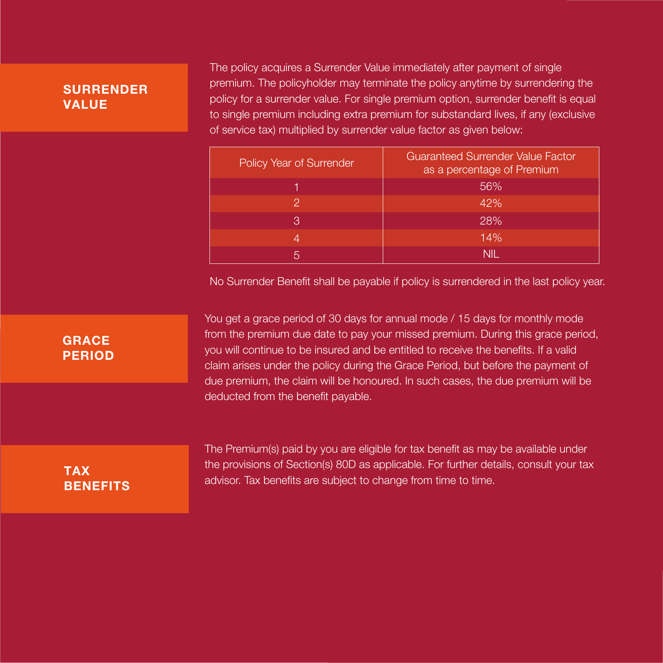#### **SURRENDER** VALUE

The policy acquires a Surrender Value immediately after payment of single premium. The policyholder may terminate the policy anytime by surrendering the policy for a surrender value. For single premium option, surrender benefit is equal to single premium including extra premium for substandard lives, if any (exclusive of service tax) multiplied by surrender value factor as given below:

| Policy Year of Surrender | <b>Guaranteed Surrender Value Factor</b><br>as a percentage of Premium |
|--------------------------|------------------------------------------------------------------------|
|                          | 56%                                                                    |
| 2                        | 42%                                                                    |
| B                        | 28%                                                                    |
| 4                        | 14%                                                                    |
| 5                        | NII.                                                                   |

No Surrender Benefit shall be payable if policy is surrendered in the last policy year.

#### **GRACE** PERIOD

You get a grace period of 30 days for annual mode / 15 days for monthly mode from the premium due date to pay your missed premium. During this grace period, you will continue to be insured and be entitled to receive the benefits. If a valid claim arises under the policy during the Grace Period, but before the payment of due premium, the claim will be honoured. In such cases, the due premium will be deducted from the benefit payable.

#### TAX **BENEFITS**

The Premium(s) paid by you are eligible for tax benefit as may be available under the provisions of Section(s) 80D as applicable. For further details, consult your tax advisor. Tax benefits are subject to change from time to time.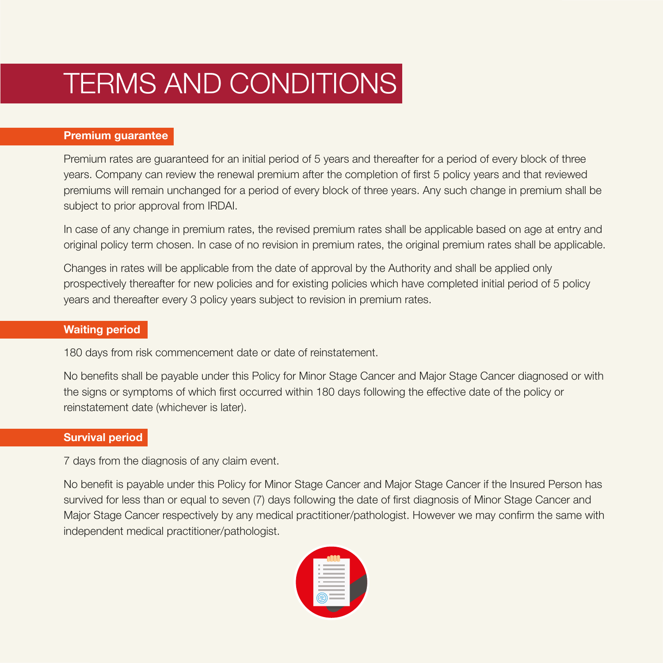## TERMS AND CONDITIONS

#### Premium guarantee

Premium rates are guaranteed for an initial period of 5 years and thereafter for a period of every block of three years. Company can review the renewal premium after the completion of first 5 policy years and that reviewed premiums will remain unchanged for a period of every block of three years. Any such change in premium shall be subject to prior approval from IRDAI.

In case of any change in premium rates, the revised premium rates shall be applicable based on age at entry and original policy term chosen. In case of no revision in premium rates, the original premium rates shall be applicable.

Changes in rates will be applicable from the date of approval by the Authority and shall be applied only prospectively thereafter for new policies and for existing policies which have completed initial period of 5 policy years and thereafter every 3 policy years subject to revision in premium rates.

#### Waiting period

180 days from risk commencement date or date of reinstatement.

No benefits shall be payable under this Policy for Minor Stage Cancer and Major Stage Cancer diagnosed or with the signs or symptoms of which first occurred within 180 days following the effective date of the policy or reinstatement date (whichever is later).

#### Survival period

7 days from the diagnosis of any claim event.

No benefit is payable under this Policy for Minor Stage Cancer and Major Stage Cancer if the Insured Person has survived for less than or equal to seven (7) days following the date of first diagnosis of Minor Stage Cancer and Major Stage Cancer respectively by any medical practitioner/pathologist. However we may confirm the same with independent medical practitioner/pathologist.

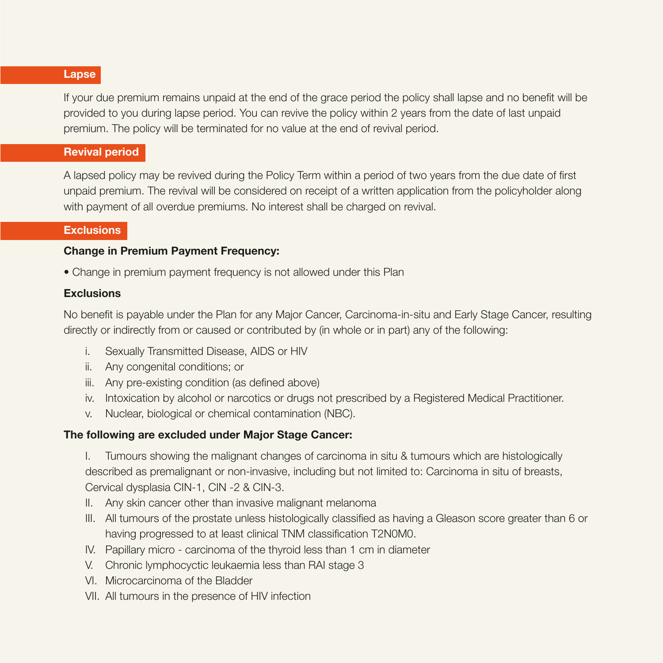#### Lapse

If your due premium remains unpaid at the end of the grace period the policy shall lapse and no benefit will be provided to you during lapse period. You can revive the policy within 2 years from the date of last unpaid premium. The policy will be terminated for no value at the end of revival period.

#### Revival period

A lapsed policy may be revived during the Policy Term within a period of two years from the due date of first unpaid premium. The revival will be considered on receipt of a written application from the policyholder along with payment of all overdue premiums. No interest shall be charged on revival.

#### **Exclusions**

#### **Change in Premium Payment Frequency:**

• Change in premium payment frequency is not allowed under this Plan

#### **Exclusions**

No benefit is payable under the Plan for any Major Cancer, Carcinoma-in-situ and Early Stage Cancer, resulting directly or indirectly from or caused or contributed by (in whole or in part) any of the following:

- i. Sexually Transmitted Disease, AIDS or HIV
- ii. Any congenital conditions; or
- iii. Any pre-existing condition (as defined above)
- iv. Intoxication by alcohol or narcotics or drugs not prescribed by a Registered Medical Practitioner.
- v. Nuclear, biological or chemical contamination (NBC).

#### The following are excluded under Major Stage Cancer:

 I. Tumours showing the malignant changes of carcinoma in situ & tumours which are histologically described as premalignant or non-invasive, including but not limited to: Carcinoma in situ of breasts, Cervical dysplasia CIN-1, CIN -2 & CIN-3.

- II. Any skin cancer other than invasive malignant melanoma
- III. All tumours of the prostate unless histologically classified as having a Gleason score greater than 6 or having progressed to at least clinical TNM classification T2N0M0.
- IV. Papillary micro carcinoma of the thyroid less than 1 cm in diameter
- V. Chronic lymphocyctic leukaemia less than RAI stage 3
- VI. Microcarcinoma of the Bladder
- VII. All tumours in the presence of HIV infection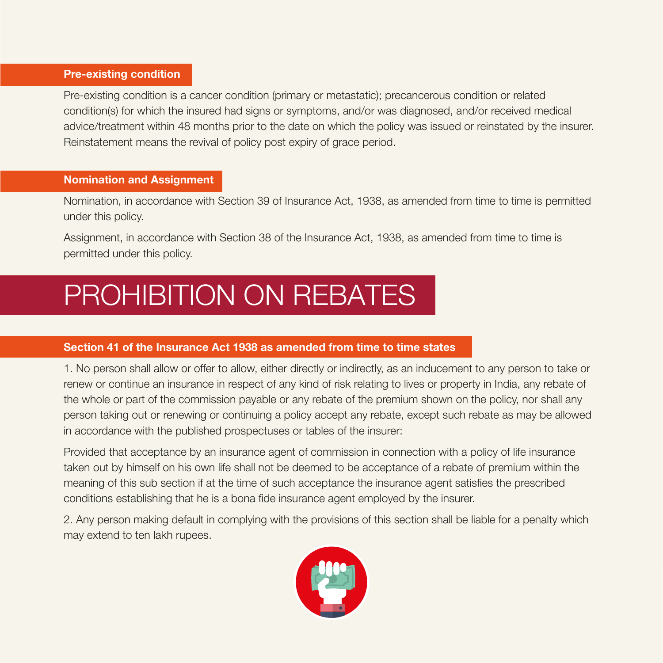#### Pre-existing condition

Pre-existing condition is a cancer condition (primary or metastatic); precancerous condition or related condition(s) for which the insured had signs or symptoms, and/or was diagnosed, and/or received medical advice/treatment within 48 months prior to the date on which the policy was issued or reinstated by the insurer. Reinstatement means the revival of policy post expiry of grace period.

#### Nomination and Assignment

Nomination, in accordance with Section 39 of Insurance Act, 1938, as amended from time to time is permitted under this policy.

Assignment, in accordance with Section 38 of the Insurance Act, 1938, as amended from time to time is permitted under this policy.

## PROHIBITION ON REBATES

#### Section 41 of the Insurance Act 1938 as amended from time to time states

1. No person shall allow or offer to allow, either directly or indirectly, as an inducement to any person to take or renew or continue an insurance in respect of any kind of risk relating to lives or property in India, any rebate of the whole or part of the commission payable or any rebate of the premium shown on the policy, nor shall any person taking out or renewing or continuing a policy accept any rebate, except such rebate as may be allowed in accordance with the published prospectuses or tables of the insurer:

Provided that acceptance by an insurance agent of commission in connection with a policy of life insurance taken out by himself on his own life shall not be deemed to be acceptance of a rebate of premium within the meaning of this sub section if at the time of such acceptance the insurance agent satisfies the prescribed conditions establishing that he is a bona fide insurance agent employed by the insurer.

2. Any person making default in complying with the provisions of this section shall be liable for a penalty which may extend to ten lakh rupees.

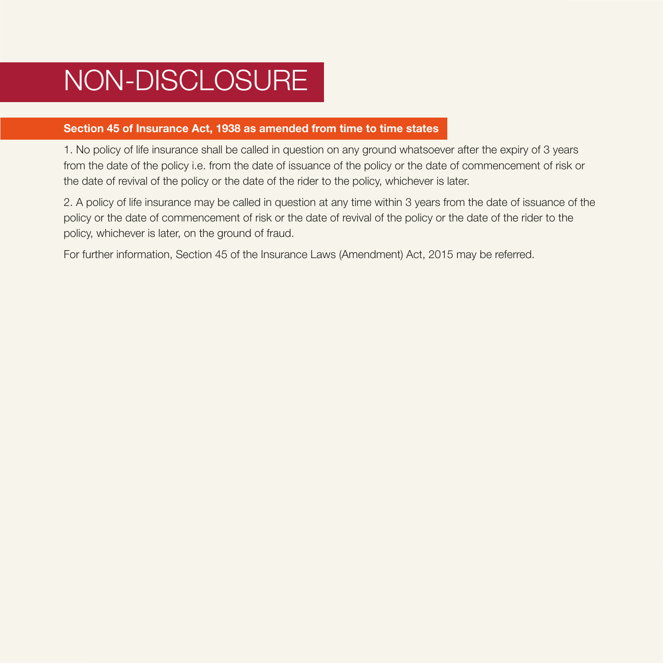## NON-DISCLOSURE

#### Section 45 of Insurance Act, 1938 as amended from time to time states

1. No policy of life insurance shall be called in question on any ground whatsoever after the expiry of 3 years from the date of the policy i.e. from the date of issuance of the policy or the date of commencement of risk or the date of revival of the policy or the date of the rider to the policy, whichever is later.

2. A policy of life insurance may be called in question at any time within 3 years from the date of issuance of the policy or the date of commencement of risk or the date of revival of the policy or the date of the rider to the policy, whichever is later, on the ground of fraud.

For further information, Section 45 of the Insurance Laws (Amendment) Act, 2015 may be referred.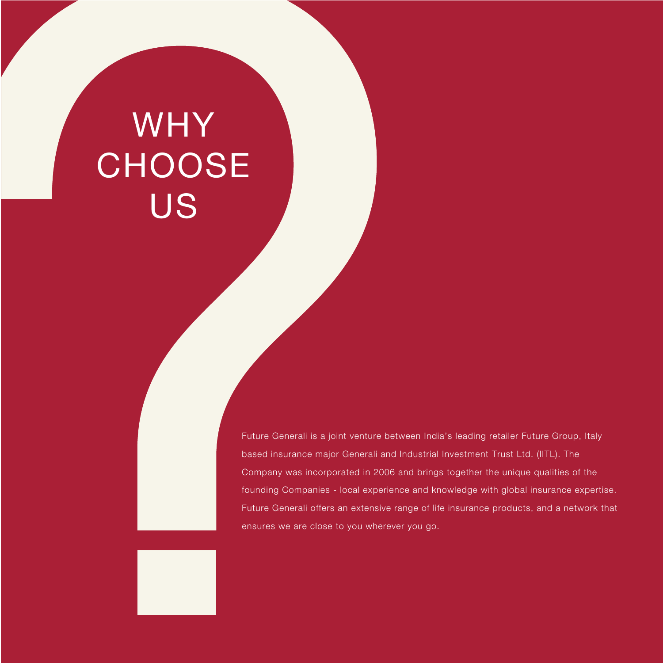# WHY **CHOOSE** US

Future Generali is a joint venture between India's leading retailer Future Group, Italy based insurance major Generali and Industrial Investment Trust Ltd. (IITL). The Company was incorporated in 2006 and brings together the unique qualities of the founding Companies - local experience and knowledge with global insurance expertise. Future Generali offers an extensive range of life insurance products, and a network that ensures we are close to you wherever you go.